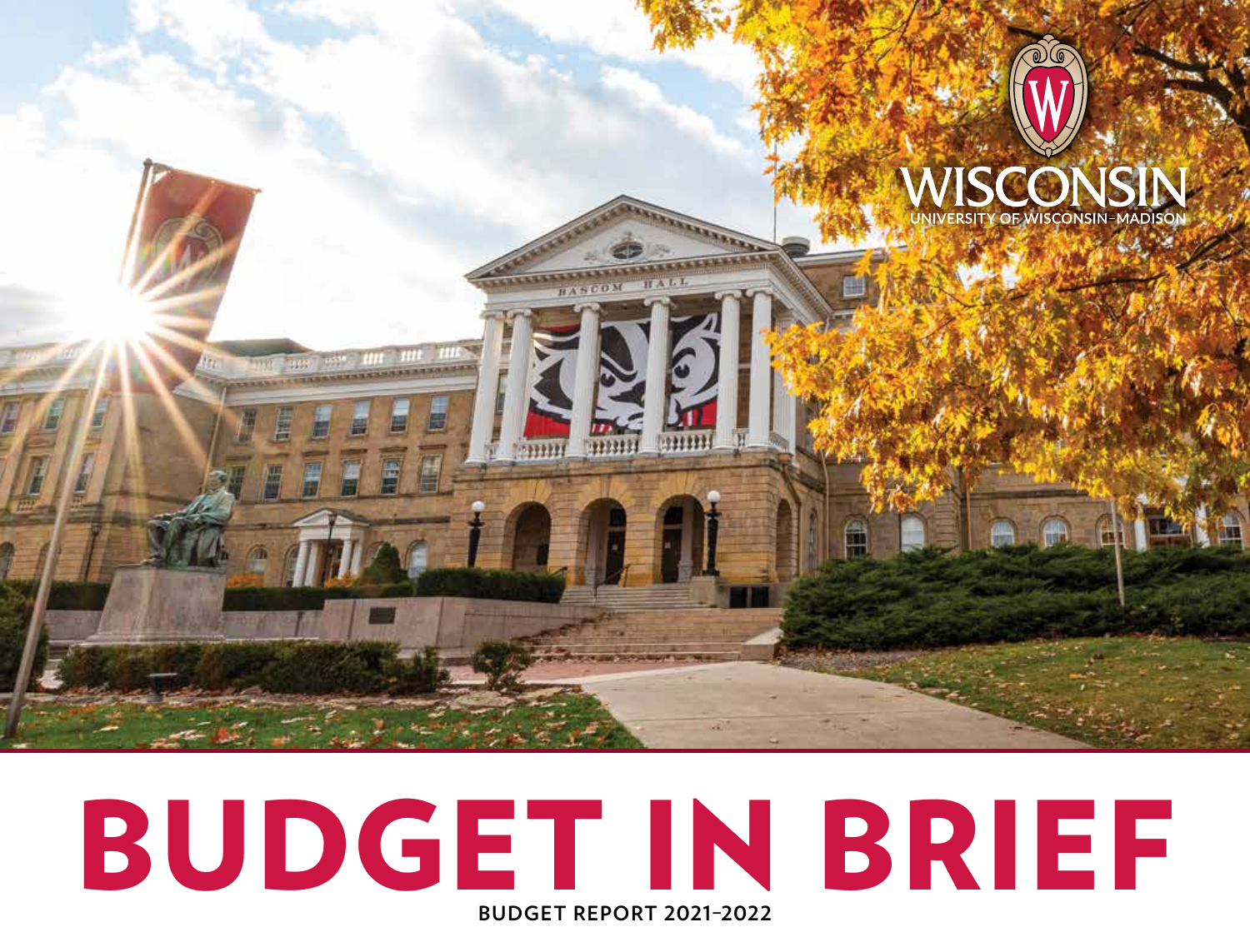

# BUDGET IN BRIEF **BUDGET REPORT 2021–2022**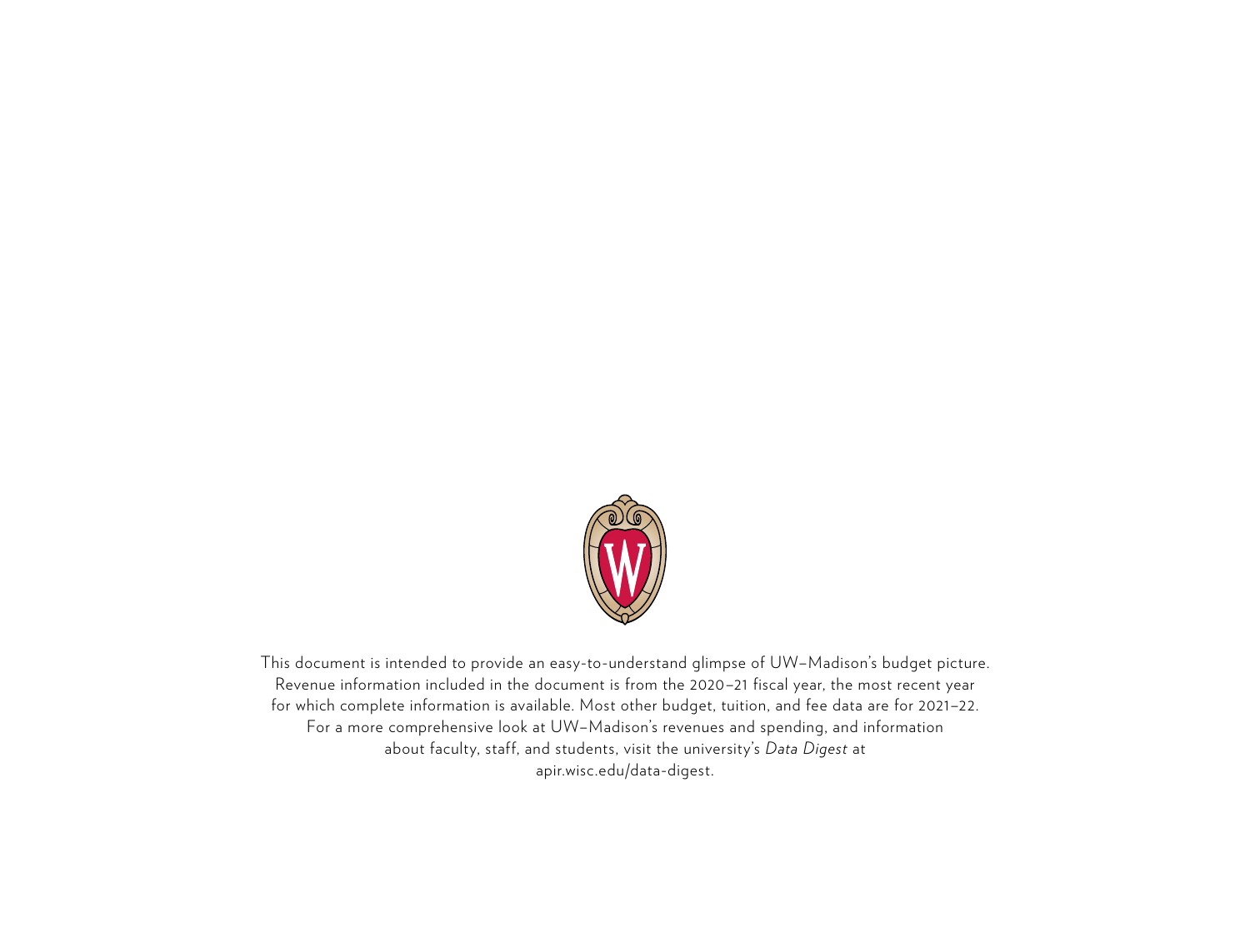

This document is intended to provide an easy-to-understand glimpse of UW–Madison's budget picture. Revenue information included in the document is from the 2020–21 fiscal year, the most recent year for which complete information is available. Most other budget, tuition, and fee data are for 2021–22. For a more comprehensive look at UW–Madison's revenues and spending, and information about faculty, staff, and students, visit the university's *Data Digest* at apir.wisc.edu/data-digest.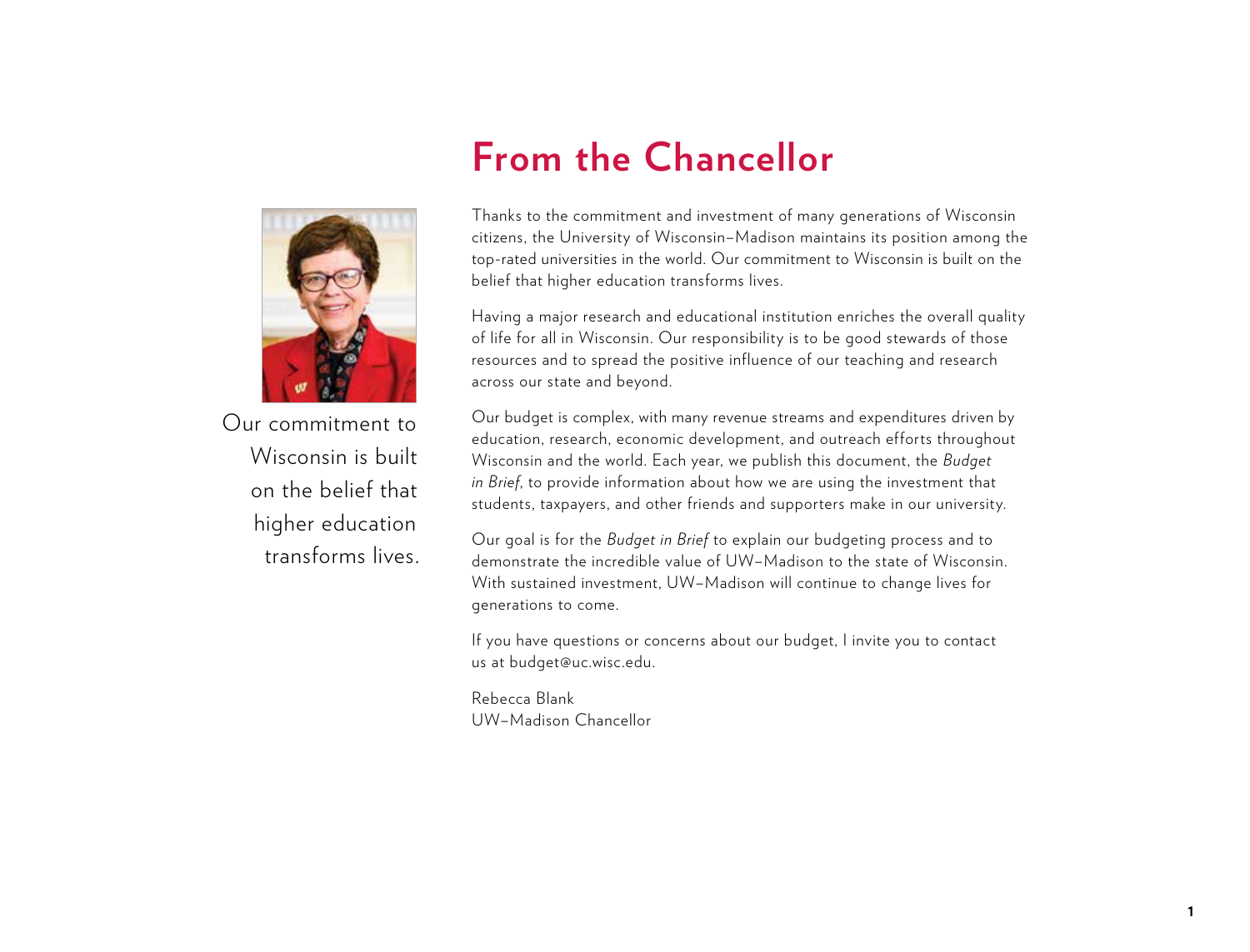

Our commitment to Wisconsin is built on the belief that higher education transforms lives.

### **From the Chancellor**

Thanks to the commitment and investment of many generations of Wisconsin citizens, the University of Wisconsin–Madison maintains its position among the top-rated universities in the world. Our commitment to Wisconsin is built on the belief that higher education transforms lives.

Having a major research and educational institution enriches the overall quality of life for all in Wisconsin. Our responsibility is to be good stewards of those resources and to spread the positive influence of our teaching and research across our state and beyond.

Our budget is complex, with many revenue streams and expenditures driven by education, research, economic development, and outreach efforts throughout Wisconsin and the world. Each year, we publish this document, the *Budget in Brief*, to provide information about how we are using the investment that students, taxpayers, and other friends and supporters make in our university.

Our goal is for the *Budget in Brief* to explain our budgeting process and to demonstrate the incredible value of UW–Madison to the state of Wisconsin. With sustained investment, UW–Madison will continue to change lives for generations to come.

If you have questions or concerns about our budget, I invite you to contact us at budget@uc.wisc.edu.

Rebecca Blank UW–Madison Chancellor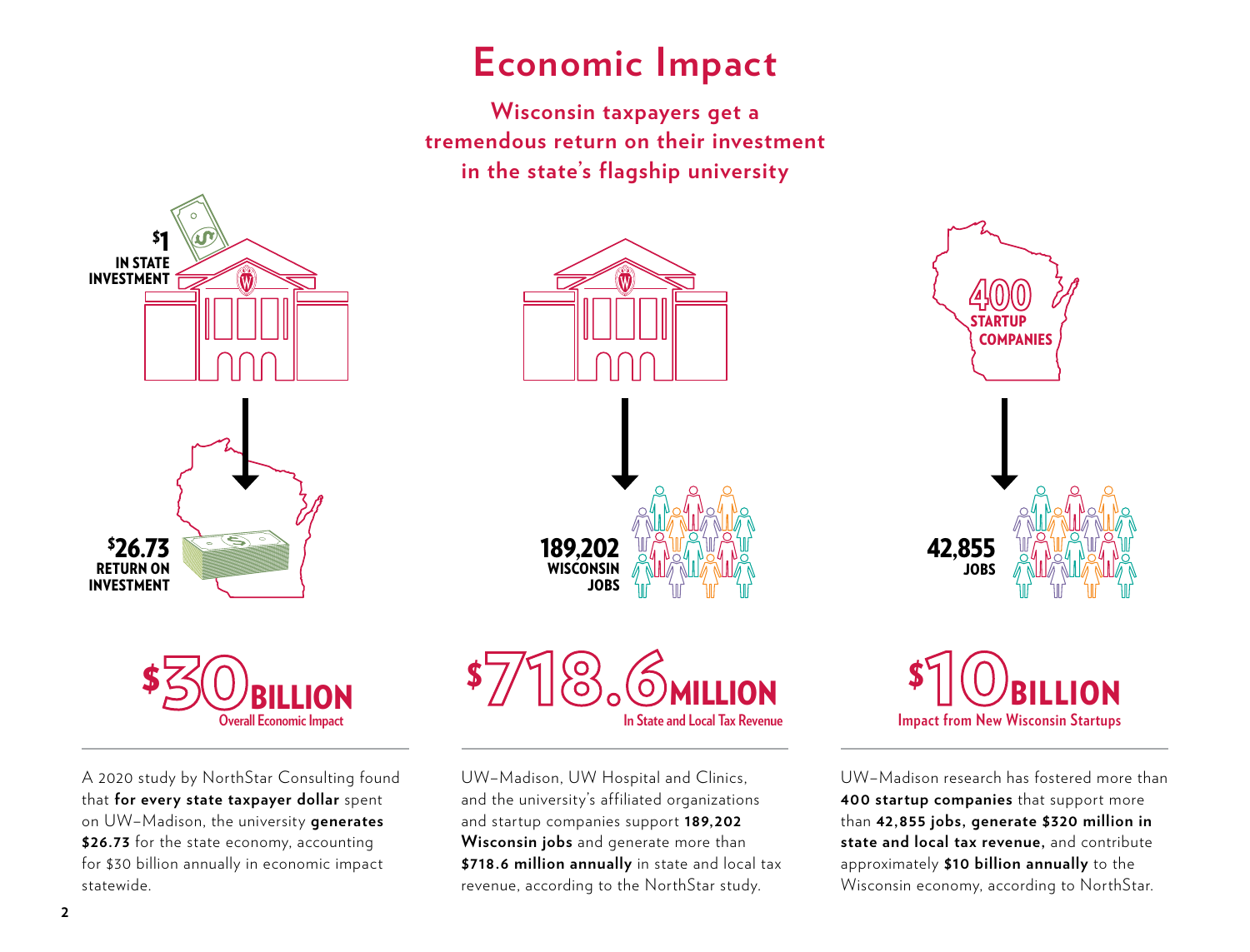### **Economic Impact**

**Wisconsin taxpayers get a tremendous return on their investment in the state's flagship university**





A 2020 study by NorthStar Consulting found that **for every state taxpayer dollar** spent on UW–Madison, the university **generates \$26.73** for the state economy, accounting for \$30 billion annually in economic impact statewide.





UW–Madison, UW Hospital and Clinics, and the university's affiliated organizations and startup companies support **189,202 Wisconsin jobs** and generate more than **\$718.6 million annually** in state and local tax revenue, according to the NorthStar study.



\$ 10BILLION **Impact from New Wisconsin Startups**

UW–Madison research has fostered more than **400 startup companies** that support more than **42,855 jobs, generate \$320 million in state and local tax revenue,** and contribute approximately **\$10 billion annually** to the Wisconsin economy, according to NorthStar.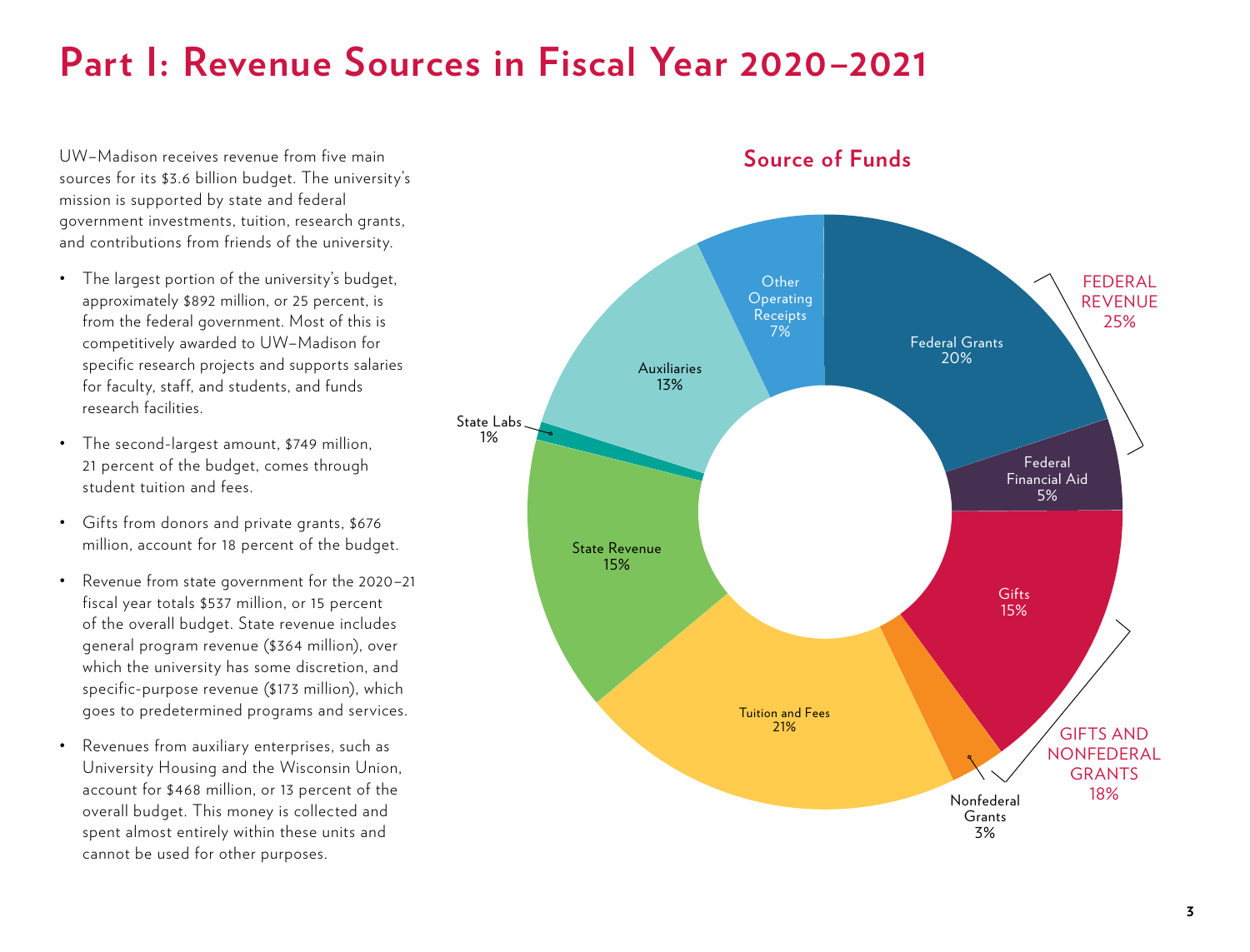## **Part I: Revenue Sources in Fiscal Year 2020–2021**

UW–Madison receives revenue from five main sources for its \$3.6 billion budget. The university's mission is supported by state and federal government investments, tuition, research grants, and contributions from friends of the university.

- The largest portion of the university's budget, approximately \$892 million, or 25 percent, is from the federal government. Most of this is competitively awarded to UW–Madison for specific research projects and supports salaries for faculty, staff, and students, and funds research facilities.
- The second-largest amount, \$749 million, 21 percent of the budget, comes through student tuition and fees.
- Gifts from donors and private grants, \$676 million, account for 18 percent of the budget.
- Revenue from state government for the 2020–21 fiscal year totals \$537 million, or 15 percent of the overall budget. State revenue includes general program revenue (\$364 million), over which the university has some discretion, and specific-purpose revenue (\$173 million), which goes to predetermined programs and services.
- Revenues from auxiliary enterprises, such as University Housing and the Wisconsin Union, account for \$468 million, or 13 percent of the overall budget. This money is collected and spent almost entirely within these units and cannot be used for other purposes.



**Source of Funds**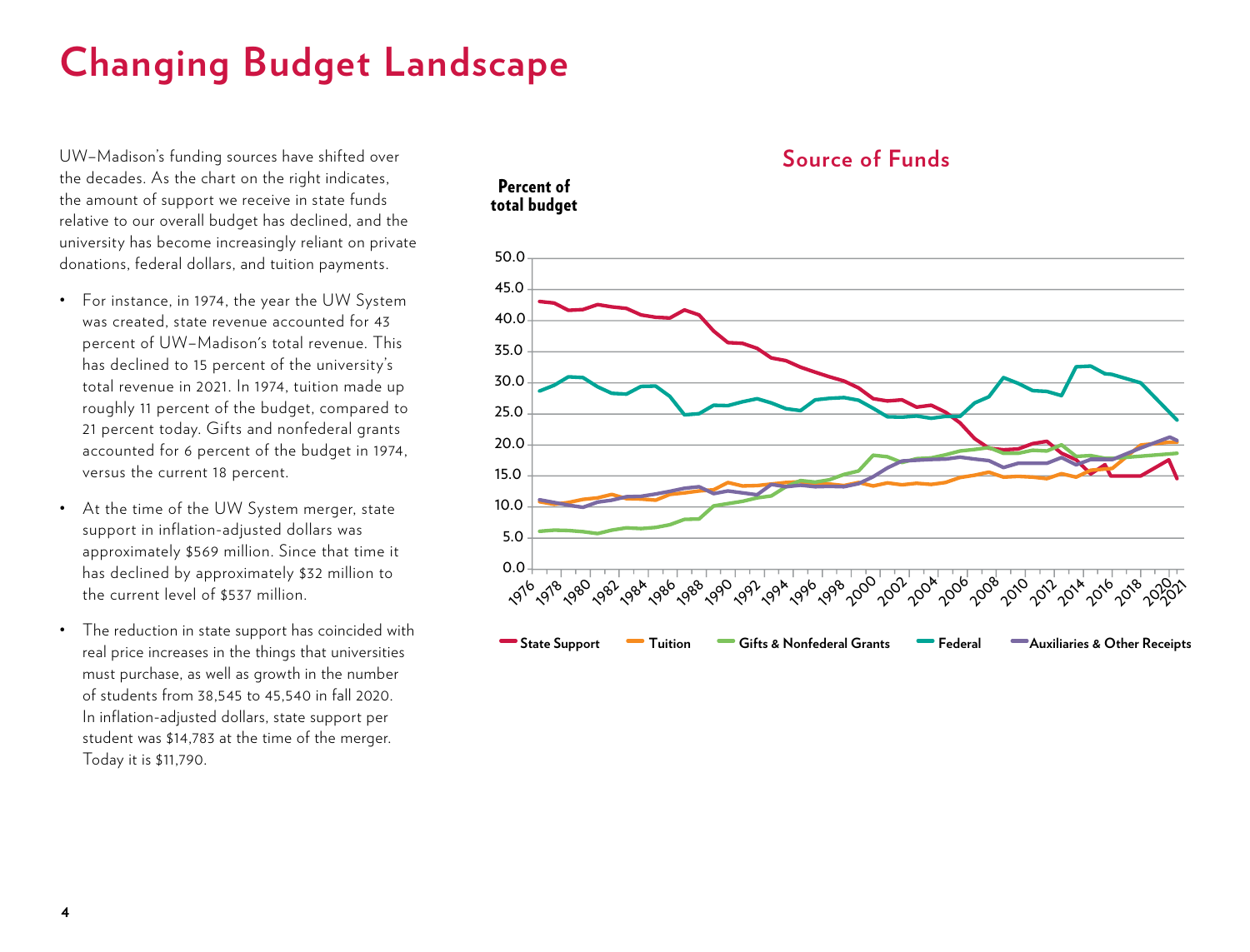## **Changing Budget Landscape**

UW–Madison's funding sources have shifted over the decades. As the chart on the right indicates, the amount of support we receive in state funds relative to our overall budget has declined, and the university has become increasingly reliant on private donations, federal dollars, and tuition payments.

- For instance, in 1974, the year the UW System was created, state revenue accounted for 43 percent of UW–Madison's total revenue. This has declined to 15 percent of the university's total revenue in 2021. In 1974, tuition made up roughly 11 percent of the budget, compared to 21 percent today. Gifts and nonfederal grants accounted for 6 percent of the budget in 1974, versus the current 18 percent.
- At the time of the UW System merger, state support in inflation-adjusted dollars was approximately \$569 million. Since that time it has declined by approximately \$32 million to the current level of \$537 million.
- The reduction in state support has coincided with real price increases in the things that universities must purchase, as well as growth in the number of students from 38,545 to 45,540 in fall 2020. In inflation-adjusted dollars, state support per student was \$14,783 at the time of the merger. Today it is \$11,790.



#### **Source of Funds**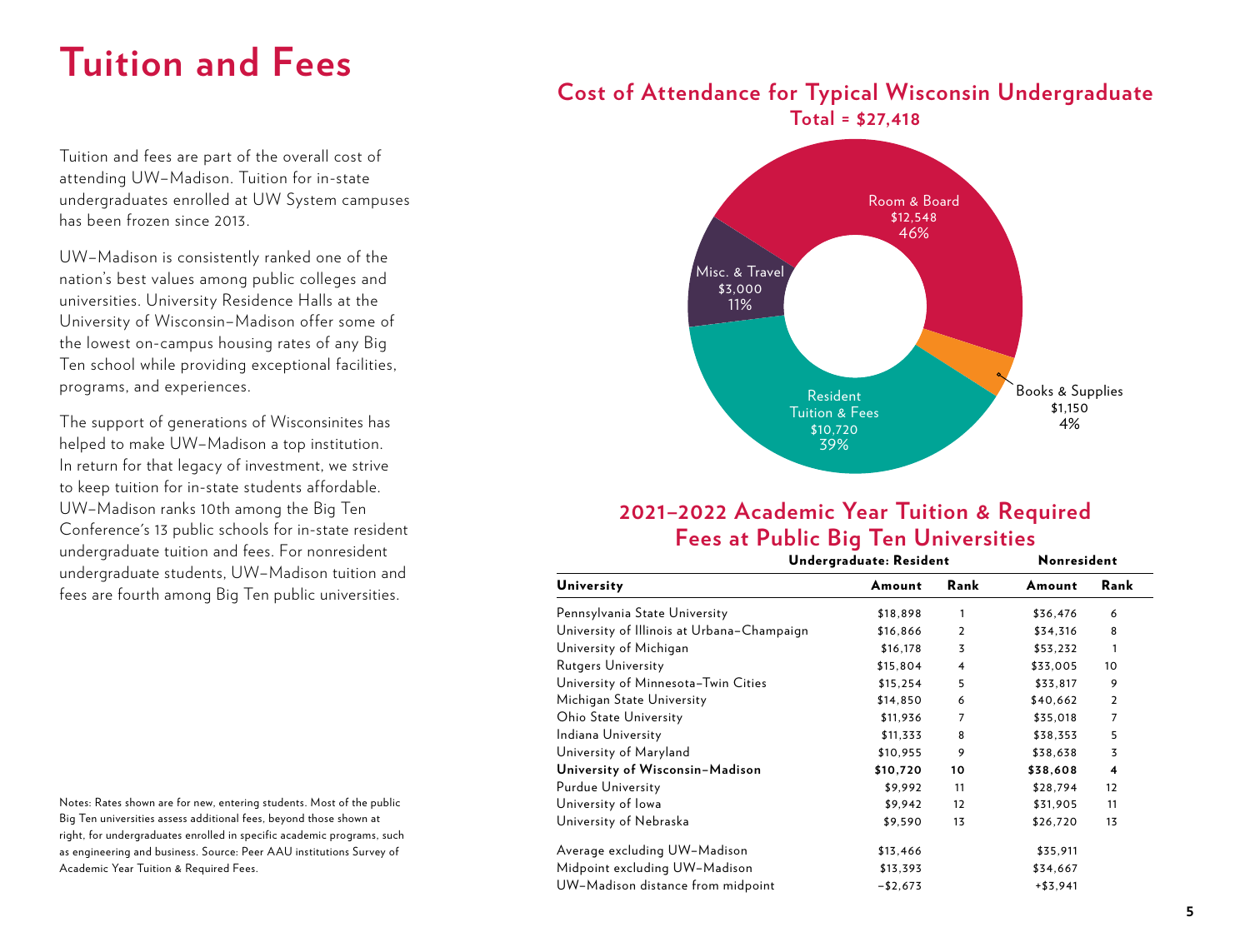### **Tuition and Fees**

Tuition and fees are part of the overall cost of attending UW–Madison. Tuition for in-state undergraduates enrolled at UW System campuses has been frozen since 2013.

UW–Madison is consistently ranked one of the nation's best values among public colleges and universities. University Residence Halls at the University of Wisconsin–Madison offer some of the lowest on-campus housing rates of any Big Ten school while providing exceptional facilities, programs, and experiences.

The support of generations of Wisconsinites has helped to make UW–Madison a top institution. In return for that legacy of investment, we strive to keep tuition for in-state students affordable. UW–Madison ranks 10th among the Big Ten Conference's 13 public schools for in-state resident undergraduate tuition and fees. For nonresident undergraduate students, UW–Madison tuition and fees are fourth among Big Ten public universities.

Notes: Rates shown are for new, entering students. Most of the public Big Ten universities assess additional fees, beyond those shown at right, for undergraduates enrolled in specific academic programs, such as engineering and business. Source: Peer AAU institutions Survey of Academic Year Tuition & Required Fees.

### **Cost of Attendance for Typical Wisconsin Undergraduate Total = \$27,418**



#### **2021–2022 Academic Year Tuition & Required Fees at Public Big Ten Universities** Undergraduate: Resident Nonresident

| <b>University</b>                          | Amount     | Rank           | Amount     | Rank              |  |
|--------------------------------------------|------------|----------------|------------|-------------------|--|
| Pennsylvania State University              | \$18,898   | 1              | \$36,476   | 6                 |  |
| University of Illinois at Urbana-Champaign | \$16,866   | $\overline{2}$ | \$34,316   | 8                 |  |
| University of Michigan                     | \$16,178   | 3              | \$53,232   | 1                 |  |
| <b>Rutgers University</b>                  | \$15,804   | 4              | \$33,005   | 10                |  |
| University of Minnesota-Twin Cities        | \$15,254   | 5              | \$33,817   | 9                 |  |
| Michigan State University                  | \$14,850   | 6              | \$40,662   | $\overline{2}$    |  |
| Ohio State University                      | \$11,936   | 7              | \$35,018   | 7                 |  |
| Indiana University                         | \$11,333   | 8              | \$38,353   | 5                 |  |
| University of Maryland                     | \$10,955   | 9              | \$38,638   | 3                 |  |
| University of Wisconsin-Madison            | \$10,720   | 10             | \$38,608   | 4                 |  |
| <b>Purdue University</b>                   | \$9,992    | 11             | \$28,794   | $12 \overline{ }$ |  |
| University of Iowa                         | \$9,942    | 12             | \$31,905   | 11                |  |
| University of Nebraska                     | \$9,590    | 13             | \$26,720   | 13                |  |
| Average excluding UW-Madison               | \$13,466   |                | \$35,911   |                   |  |
| Midpoint excluding UW-Madison              | \$13,393   |                | \$34,667   |                   |  |
| UW-Madison distance from midpoint          | $- $2,673$ |                | $+ $3,941$ |                   |  |
|                                            |            |                |            |                   |  |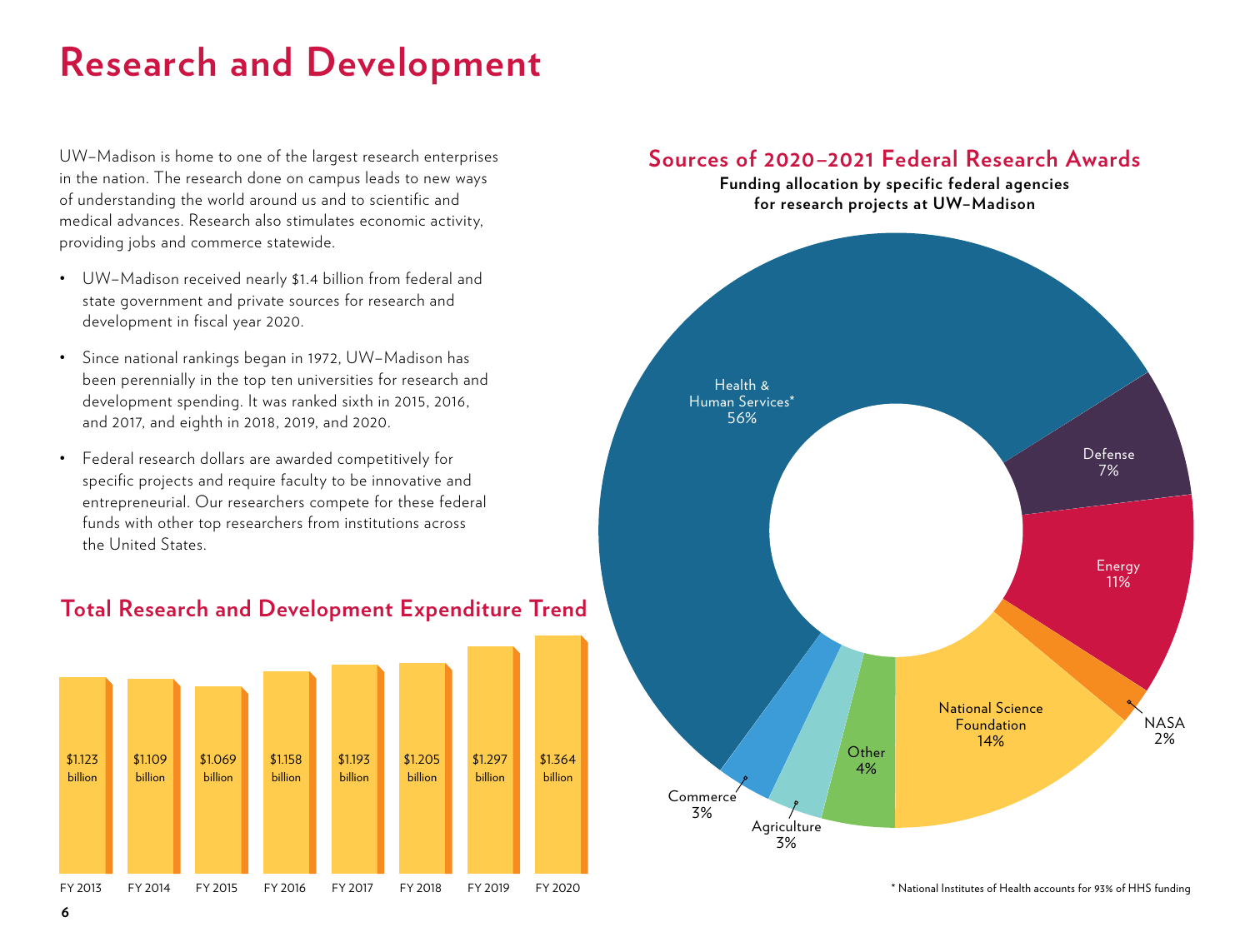## **Research and Development**

UW–Madison is home to one of the largest research enterprises in the nation. The research done on campus leads to new ways of understanding the world around us and to scientific and medical advances. Research also stimulates economic activity, providing jobs and commerce statewide.

- UW–Madison received nearly \$1.4 billion from federal and state government and private sources for research and development in fiscal year 2020.
- Since national rankings began in 1972, UW–Madison has been perennially in the top ten universities for research and development spending. It was ranked sixth in 2015, 2016, and 2017, and eighth in 2018, 2019, and 2020.
- Federal research dollars are awarded competitively for specific projects and require faculty to be innovative and entrepreneurial. Our researchers compete for these federal funds with other top researchers from institutions across the United States.



### **Total Research and Development Expenditure Trend**

#### **Sources of 2020–2021 Federal Research Awards**





\* National Institutes of Health accounts for 93% of HHS funding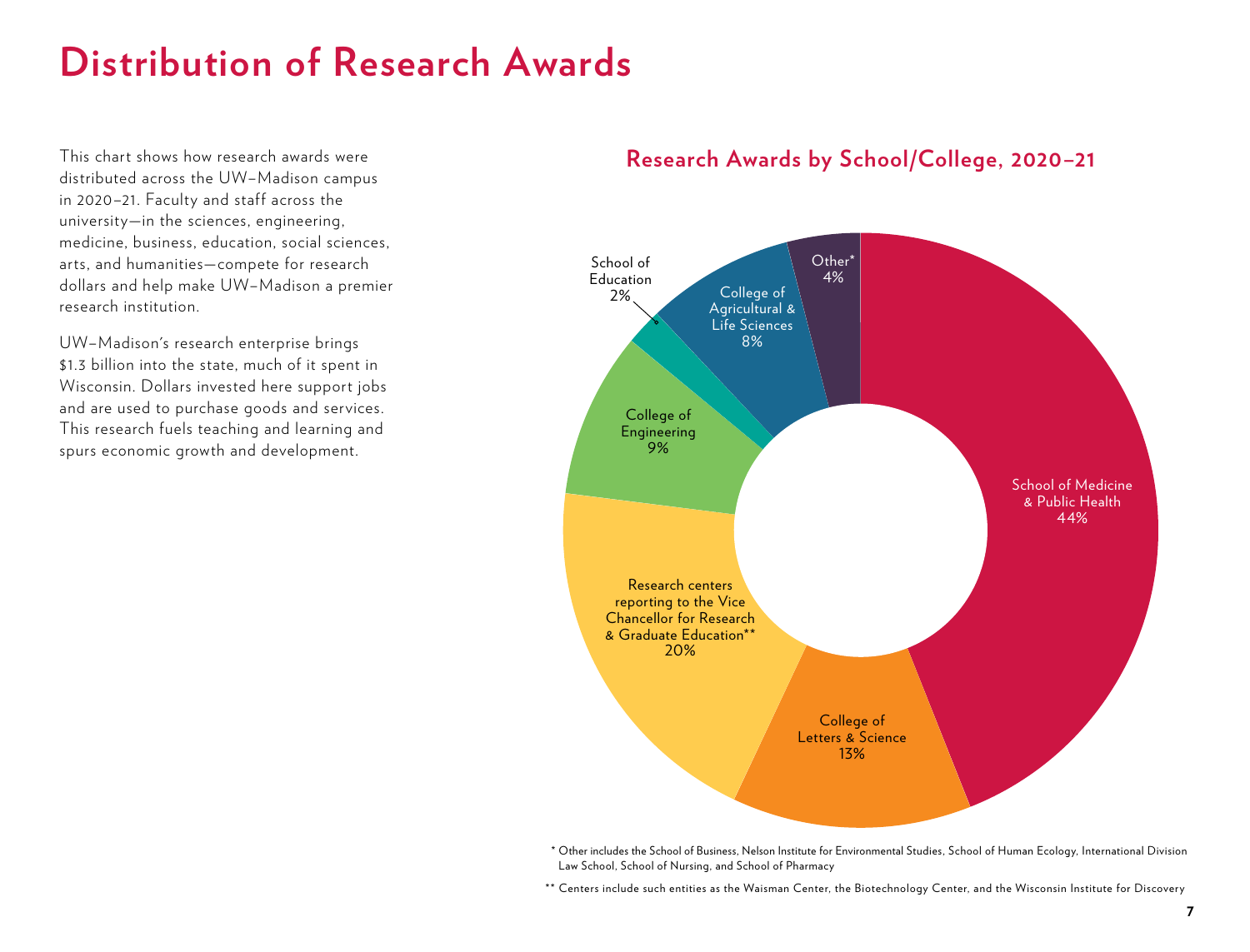### **Distribution of Research Awards**

This chart shows how research awards were distributed across the UW–Madison campus in 2020–21. Faculty and staff across the university—in the sciences, engineering, medicine, business, education, social sciences, arts, and humanities—compete for research dollars and help make UW–Madison a premier research institution.

UW–Madison's research enterprise brings \$1.3 billion into the state, much of it spent in Wisconsin. Dollars invested here support jobs and are used to purchase goods and services. This research fuels teaching and learning and spurs economic growth and development.

### **Research Awards by School/College, 2020–21**



 \* Other includes the School of Business, Nelson Institute for Environmental Studies, School of Human Ecology, International Division Law School, School of Nursing, and School of Pharmacy

\*\* Centers include such entities as the Waisman Center, the Biotechnology Center, and the Wisconsin Institute for Discovery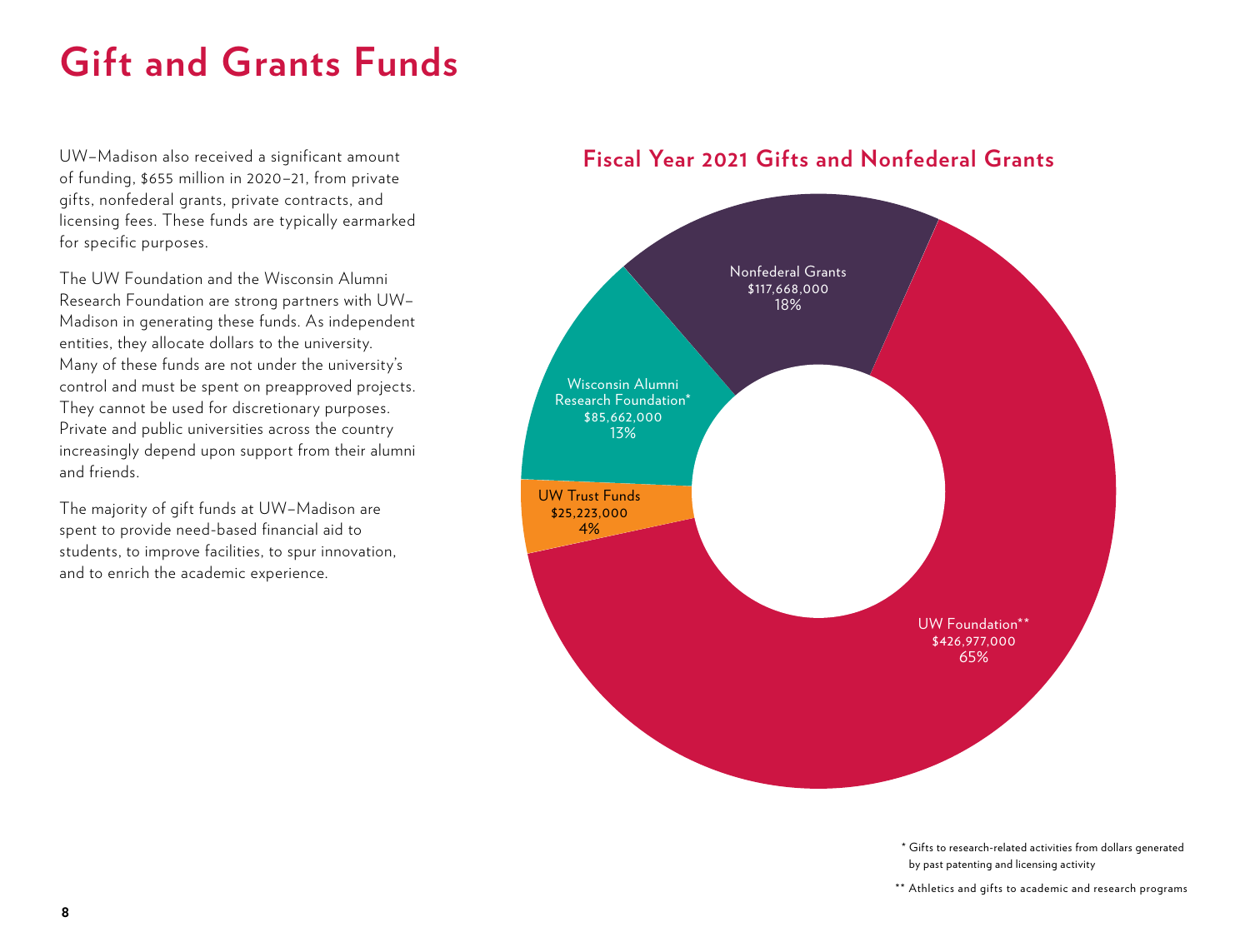## **Gift and Grants Funds**

UW–Madison also received a significant amount of funding, \$655 million in 2020–21, from private gifts, nonfederal grants, private contracts, and licensing fees. These funds are typically earmarked for specific purposes.

The UW Foundation and the Wisconsin Alumni Research Foundation are strong partners with UW– Madison in generating these funds. As independent entities, they allocate dollars to the university. Many of these funds are not under the university's control and must be spent on preapproved projects. They cannot be used for discretionary purposes. Private and public universities across the country increasingly depend upon support from their alumni and friends.

The majority of gift funds at UW–Madison are spent to provide need-based financial aid to students, to improve facilities, to spur innovation, and to enrich the academic experience.

### **Fiscal Year 2021 Gifts and Nonfederal Grants**



 \* Gifts to research-related activities from dollars generated by past patenting and licensing activity

\*\* Athletics and gifts to academic and research programs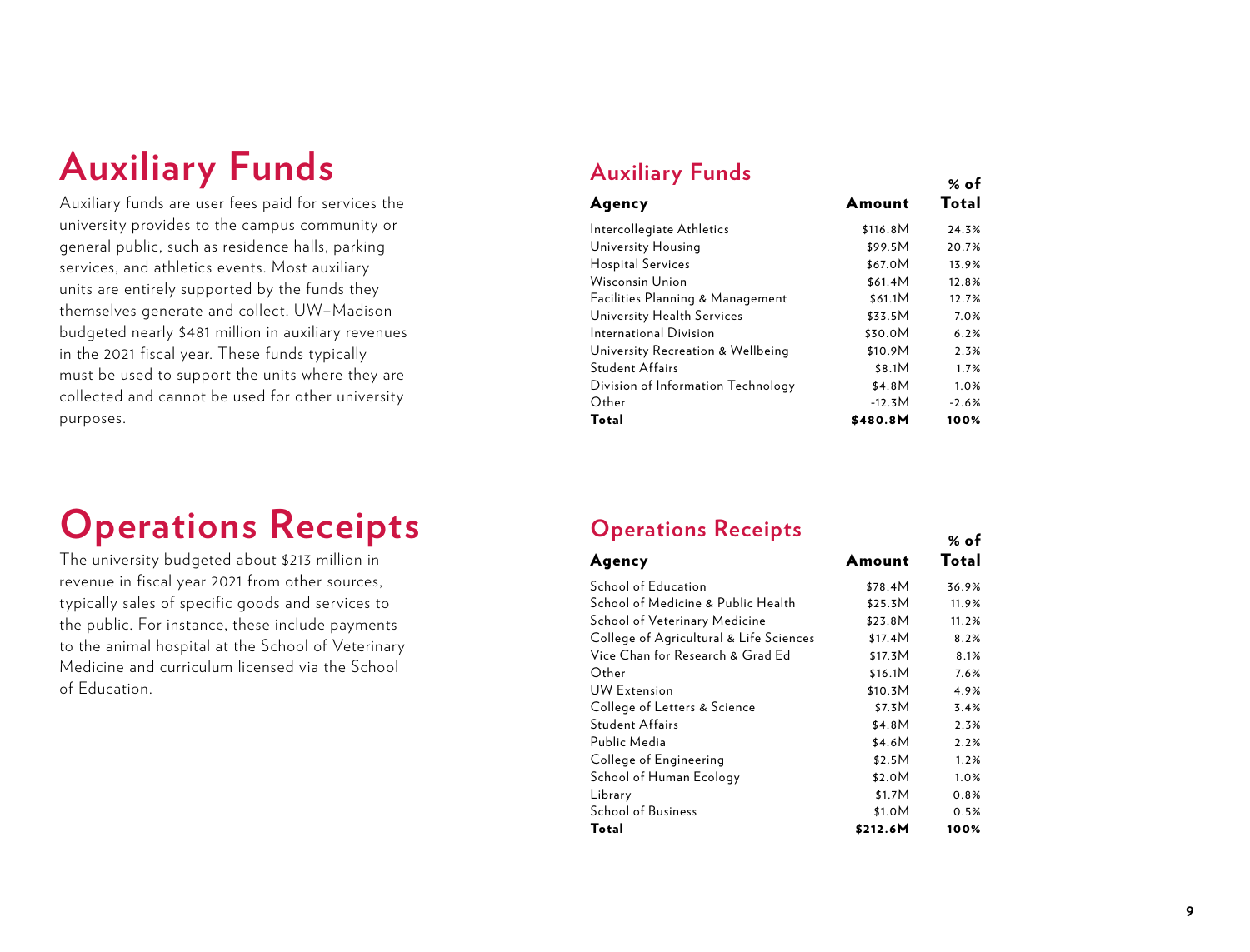## **Auxiliary Funds Auxiliary Funds**

Auxiliary funds are user fees paid for services the university provides to the campus community or general public, such as residence halls, parking services, and athletics events. Most auxiliary units are entirely supported by the funds they themselves generate and collect. UW–Madison budgeted nearly \$481 million in auxiliary revenues in the 2021 fiscal year. These funds typically must be used to support the units where they are collected and cannot be used for other university purposes.

### **Operations Receipts Operations Receipts**

The university budgeted about \$213 million in revenue in fiscal year 2021 from other sources, typically sales of specific goods and services to the public. For instance, these include payments to the animal hospital at the School of Veterinary Medicine and curriculum licensed via the School of Education.

### Auxiliary Funds and the second second second second second second second second second second second second second second second second second second second second second second second second second second second second se

| Agency                             | Amount   | Total   |
|------------------------------------|----------|---------|
| Intercollegiate Athletics          | \$116.8M | 24.3%   |
| University Housing                 | \$99.5M  | 20.7%   |
| <b>Hospital Services</b>           | \$67.0M  | 13.9%   |
| Wisconsin Union                    | \$61.4M  | 12.8%   |
| Facilities Planning & Management   | \$61.1M  | 12.7%   |
| University Health Services         | \$33.5M  | 7.0%    |
| International Division             | \$30.0M  | 6.2%    |
| University Recreation & Wellbeing  | \$10.9M  | 2.3%    |
| <b>Student Affairs</b>             | \$8.1M   | 1.7%    |
| Division of Information Technology | \$4.8M   | 1.0%    |
| Other                              | $-12.3M$ | $-2.6%$ |
| Total                              | \$480.8M | 100%    |

### % of

| Agency                                  | Amount   | Total |
|-----------------------------------------|----------|-------|
| School of Education                     | \$78.4M  | 36.9% |
| School of Medicine & Public Health      | \$25.3M  | 11.9% |
| School of Veterinary Medicine           | \$23.8M  | 11.2% |
| College of Agricultural & Life Sciences | \$17.4M  | 8.2%  |
| Vice Chan for Research & Grad Ed        | \$17.3M  | 8.1%  |
| Other                                   | \$16.1M  | 7.6%  |
| <b>UW Extension</b>                     | \$10.3M  | 4.9%  |
| College of Letters & Science            | \$7.3M   | 3.4%  |
| <b>Student Affairs</b>                  | \$4.8M   | 2.3%  |
| Public Media                            | \$4.6M   | 2.2%  |
| College of Engineering                  | \$2.5M   | 1.2%  |
| School of Human Ecology                 | \$2.0M   | 1.0%  |
| Library                                 | \$1.7M   | 0.8%  |
| <b>School of Business</b>               | \$1.0M   | 0.5%  |
| Total                                   | \$212.6M | 100%  |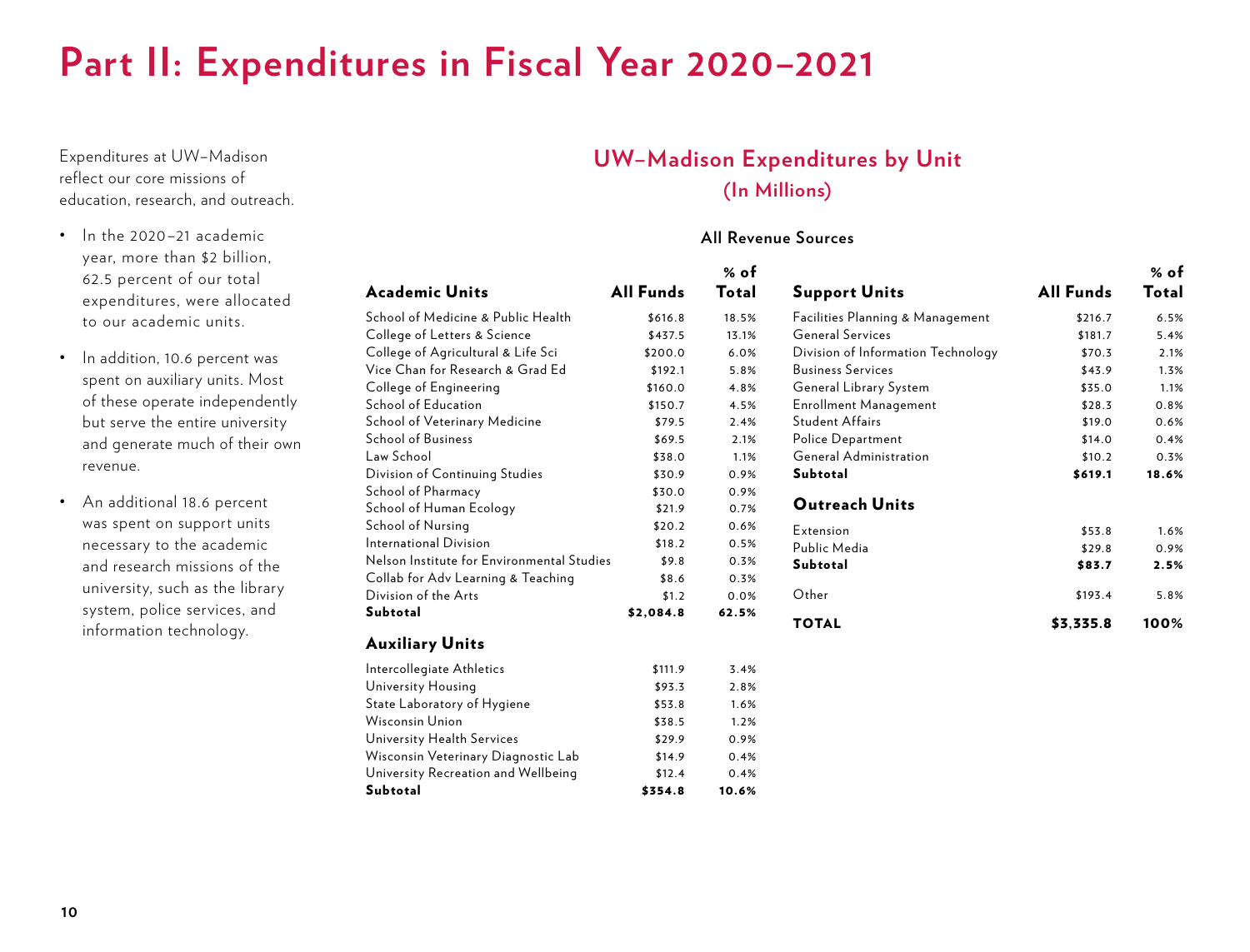### **Part II: Expenditures in Fiscal Year 2020–2021**

Expenditures at UW–Madison reflect our core missions of education, research, and outreach.

- In the 2020–21 academic year, more than \$2 billion, 62.5 percent of our total expenditures, were allocated to our academic units.
- In addition, 10.6 percent was spent on auxiliary units. Most of these operate independently but serve the entire university and generate much of their own revenue.
- An additional 18.6 percent was spent on support units necessary to the academic and research missions of the university, such as the library system, police services, and information technology.

### **UW–Madison Expenditures by Unit (In Millions)**

#### **All Revenue Sources**

|                                            |                  | % of  |                                    |                  | % of  |
|--------------------------------------------|------------------|-------|------------------------------------|------------------|-------|
| <b>Academic Units</b>                      | <b>All Funds</b> | Total | <b>Support Units</b>               | <b>All Funds</b> | Total |
| School of Medicine & Public Health         | \$616.8          | 18.5% | Facilities Planning & Management   | \$216.7          | 6.5%  |
| College of Letters & Science               | \$437.5          | 13.1% | <b>General Services</b>            | \$181.7          | 5.4%  |
| College of Agricultural & Life Sci         | \$200.0          | 6.0%  | Division of Information Technology | \$70.3           | 2.1%  |
| Vice Chan for Research & Grad Ed           | \$192.1          | 5.8%  | <b>Business Services</b>           | \$43.9           | 1.3%  |
| College of Engineering                     | \$160.0          | 4.8%  | General Library System             | \$35.0           | 1.1%  |
| School of Education                        | \$150.7          | 4.5%  | <b>Enrollment Management</b>       | \$28.3           | 0.8%  |
| School of Veterinary Medicine              | \$79.5           | 2.4%  | <b>Student Affairs</b>             | \$19.0           | 0.6%  |
| <b>School of Business</b>                  | \$69.5           | 2.1%  | Police Department                  | \$14.0           | 0.4%  |
| Law School                                 | \$38.0           | 1.1%  | <b>General Administration</b>      | \$10.2           | 0.3%  |
| Division of Continuing Studies             | \$30.9           | 0.9%  | <b>Subtotal</b>                    | \$619.1          | 18.6% |
| School of Pharmacy                         | \$30.0           | 0.9%  |                                    |                  |       |
| School of Human Ecology                    | \$21.9           | 0.7%  | <b>Outreach Units</b>              |                  |       |
| School of Nursing                          | \$20.2           | 0.6%  | Extension                          | \$53.8           | 1.6%  |
| International Division                     | \$18.2           | 0.5%  | Public Media                       | \$29.8           | 0.9%  |
| Nelson Institute for Environmental Studies | \$9.8            | 0.3%  | <b>Subtotal</b>                    | \$83.7           | 2.5%  |
| Collab for Adv Learning & Teaching         | \$8.6            | 0.3%  |                                    |                  |       |
| Division of the Arts                       | \$1.2            | 0.0%  | Other                              | \$193.4          | 5.8%  |
| <b>Subtotal</b>                            | \$2,084.8        | 62.5% | <b>TOTAL</b>                       | \$3,335.8        | 100%  |
| <b>Auxiliary Units</b>                     |                  |       |                                    |                  |       |
| Intercollegiate Athletics                  | \$111.9          | 3.4%  |                                    |                  |       |
| University Housing                         | \$93.3           | 2.8%  |                                    |                  |       |
| State Laboratory of Hygiene                | \$53.8           | 1.6%  |                                    |                  |       |
| Wisconsin Union                            | \$38.5           | 1.2%  |                                    |                  |       |
| University Health Services                 | \$29.9           | 0.9%  |                                    |                  |       |
| Wisconsin Veterinary Diagnostic Lab        | \$14.9           | 0.4%  |                                    |                  |       |
| University Recreation and Wellbeing        | \$12.4           | 0.4%  |                                    |                  |       |
| Subtotal                                   | \$354.8          | 10.6% |                                    |                  |       |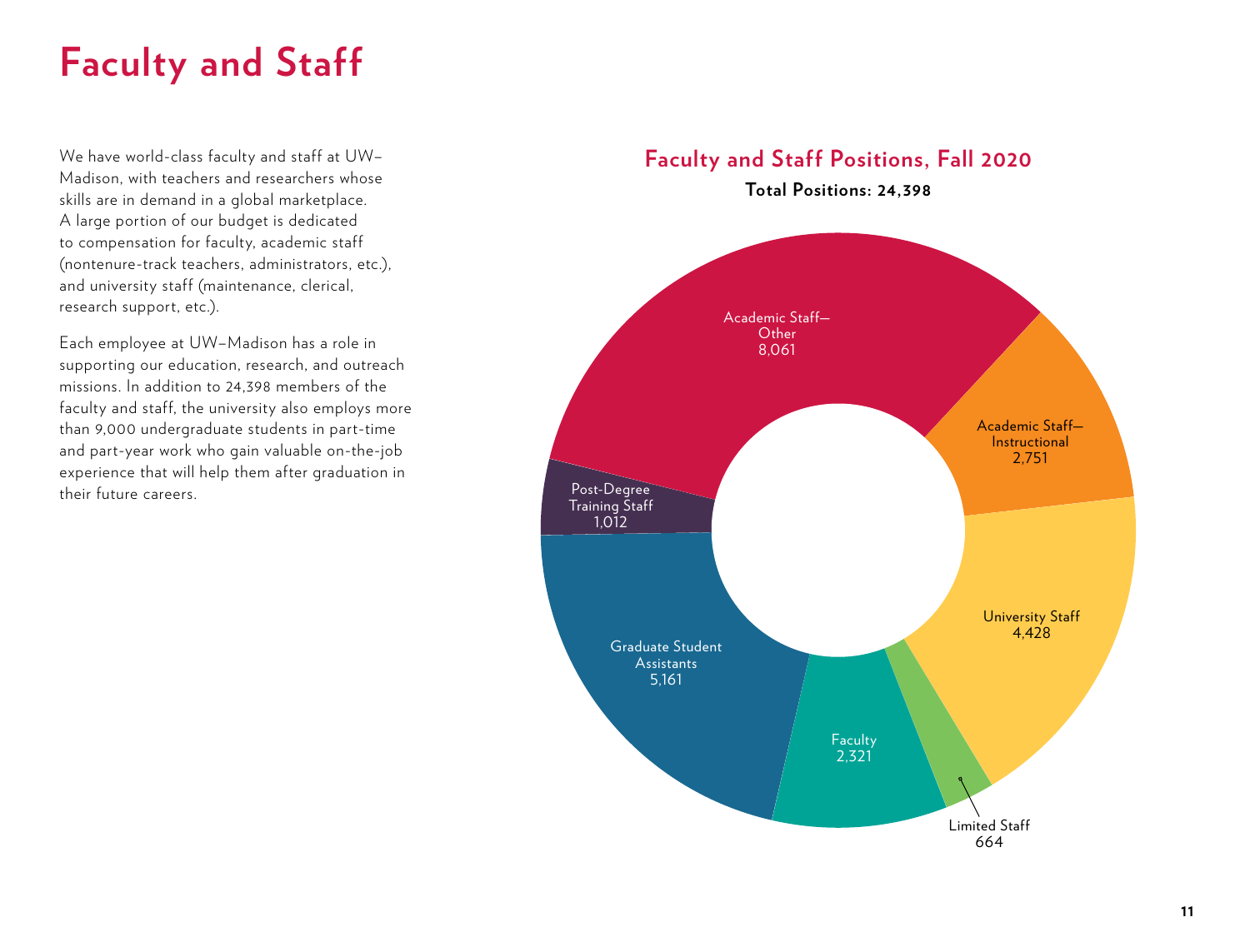## **Faculty and Staff**

We have world-class faculty and staff at UW– Madison, with teachers and researchers whose skills are in demand in a global marketplace. A large portion of our budget is dedicated to compensation for faculty, academic staff (nontenure-track teachers, administrators, etc.), and university staff (maintenance, clerical, research support, etc.).

Each employee at UW–Madison has a role in supporting our education, research, and outreach missions. In addition to 24,398 members of the faculty and staff, the university also employs more than 9,000 undergraduate students in part-time and part-year work who gain valuable on-the-job experience that will help them after graduation in their future careers.

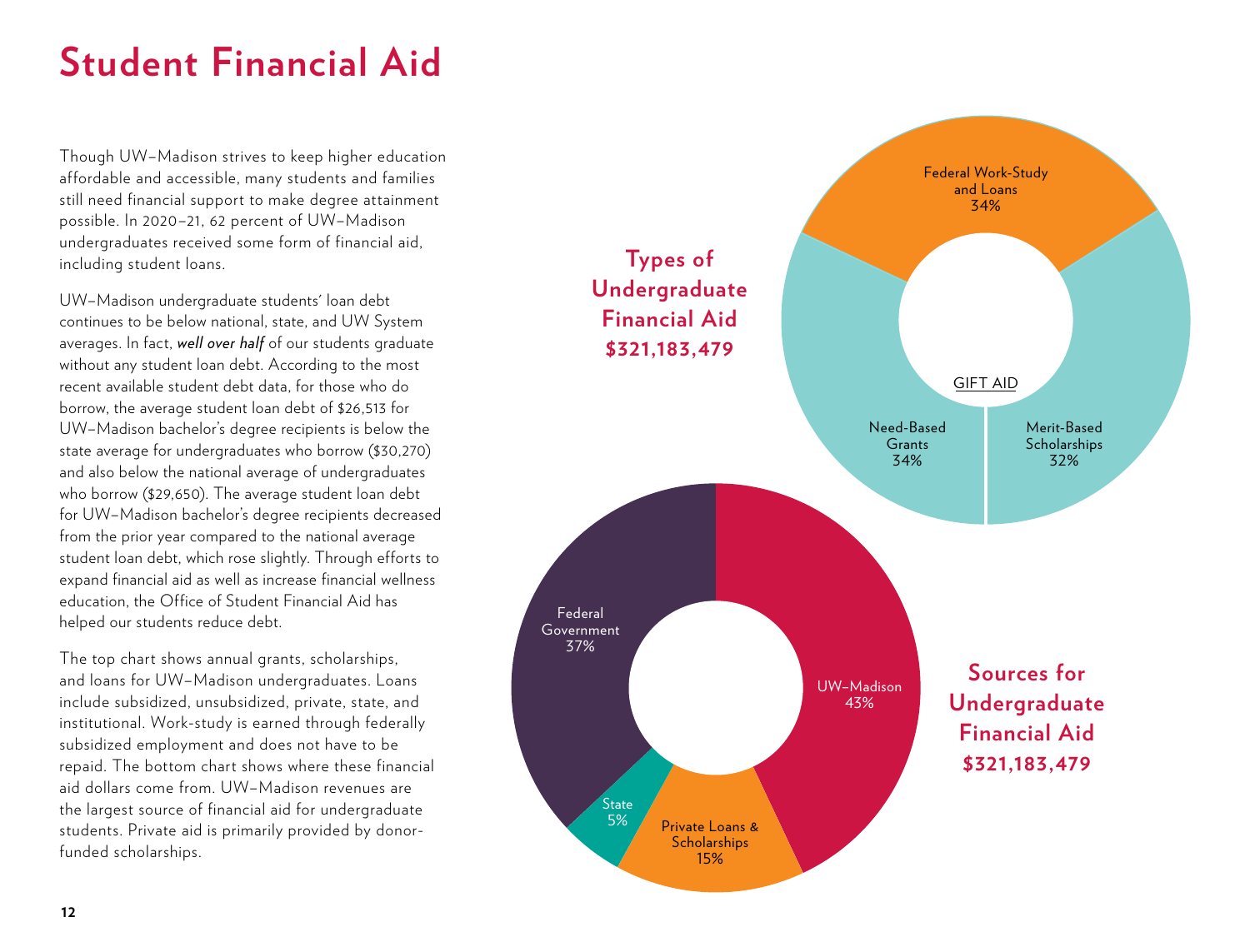## **Student Financial Aid**

Though UW–Madison strives to keep higher education affordable and accessible, many students and families still need financial support to make degree attainment possible. In 2020–21, 62 percent of UW–Madison undergraduates received some form of financial aid, including student loans.

UW–Madison undergraduate students' loan debt continues to be below national, state, and UW System averages. In fact, *well over half* of our students graduate without any student loan debt. According to the most recent available student debt data, for those who do borrow, the average student loan debt of \$26,513 for UW–Madison bachelor's degree recipients is below the state average for undergraduates who borrow (\$30,270) and also below the national average of undergraduates who borrow (\$29,650). The average student loan debt for UW–Madison bachelor's degree recipients decreased from the prior year compared to the national average student loan debt, which rose slightly. Through efforts to expand financial aid as well as increase financial wellness education, the Office of Student Financial Aid has helped our students reduce debt.

The top chart shows annual grants, scholarships, and loans for UW–Madison undergraduates. Loans include subsidized, unsubsidized, private, state, and institutional. Work-study is earned through federally subsidized employment and does not have to be repaid. The bottom chart shows where these financial aid dollars come from. UW–Madison revenues are the largest source of financial aid for undergraduate students. Private aid is primarily provided by donorfunded scholarships.

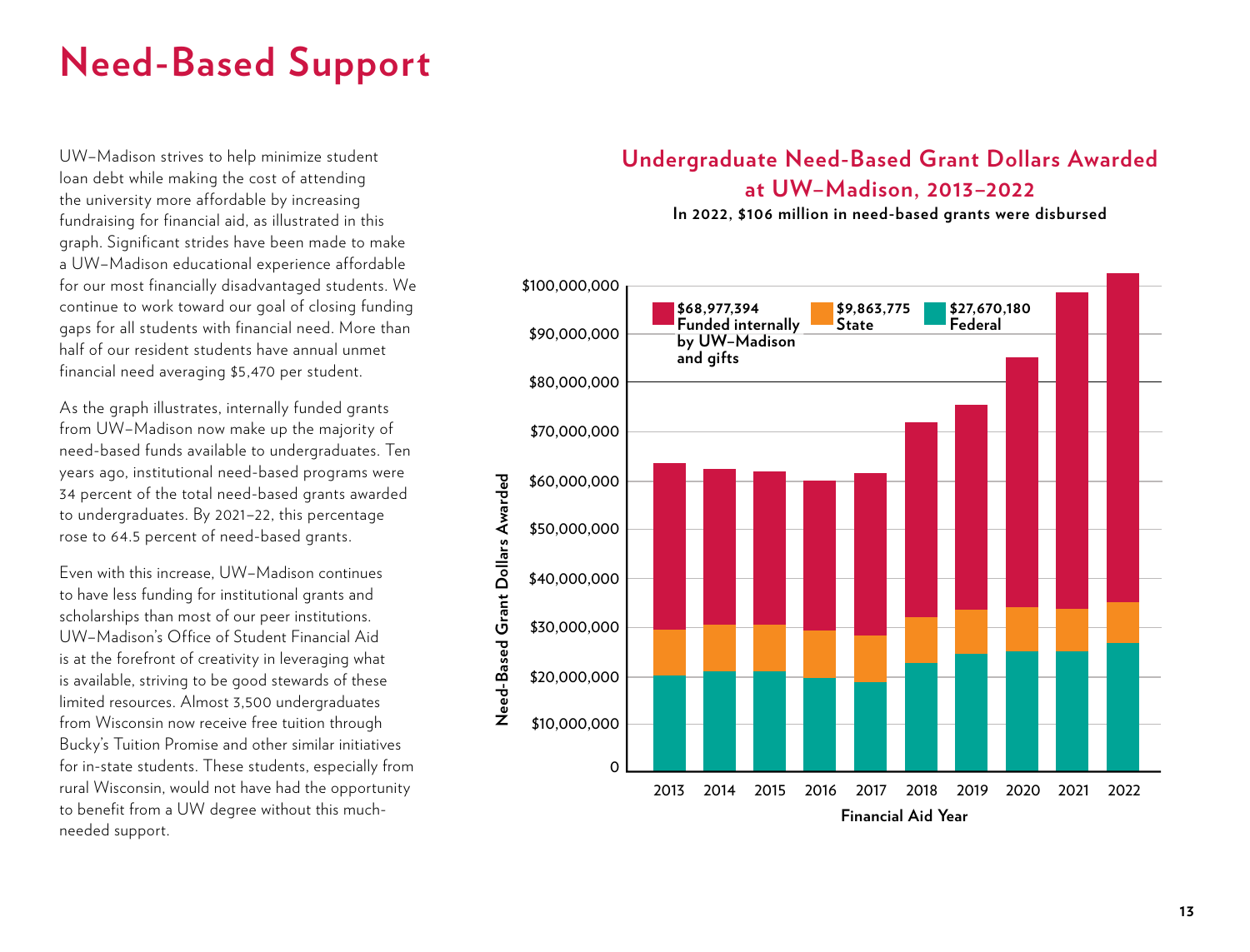## **Need-Based Support**

UW–Madison strives to help minimize student loan debt while making the cost of attending the university more affordable by increasing fundraising for financial aid, as illustrated in this graph. Significant strides have been made to make a UW–Madison educational experience affordable for our most financially disadvantaged students. We continue to work toward our goal of closing funding gaps for all students with financial need. More than half of our resident students have annual unmet financial need averaging \$5,470 per student.

As the graph illustrates, internally funded grants from UW–Madison now make up the majority of need-based funds available to undergraduates. Ten years ago, institutional need-based programs were 34 percent of the total need-based grants awarded to undergraduates. By 2021–22, this percentage rose to 64.5 percent of need-based grants.

Even with this increase, UW–Madison continues to have less funding for institutional grants and scholarships than most of our peer institutions. UW–Madison's Office of Student Financial Aid is at the forefront of creativity in leveraging what is available, striving to be good stewards of these limited resources. Almost 3,500 undergraduates from Wisconsin now receive free tuition through Bucky's Tuition Promise and other similar initiatives for in-state students. These students, especially from rural Wisconsin, would not have had the opportunity to benefit from a UW degree without this muchneeded support.

### **Undergraduate Need-Based Grant Dollars Awarded at UW–Madison, 2013–2022**

**In 2022, \$106 million in need-based grants were disbursed**

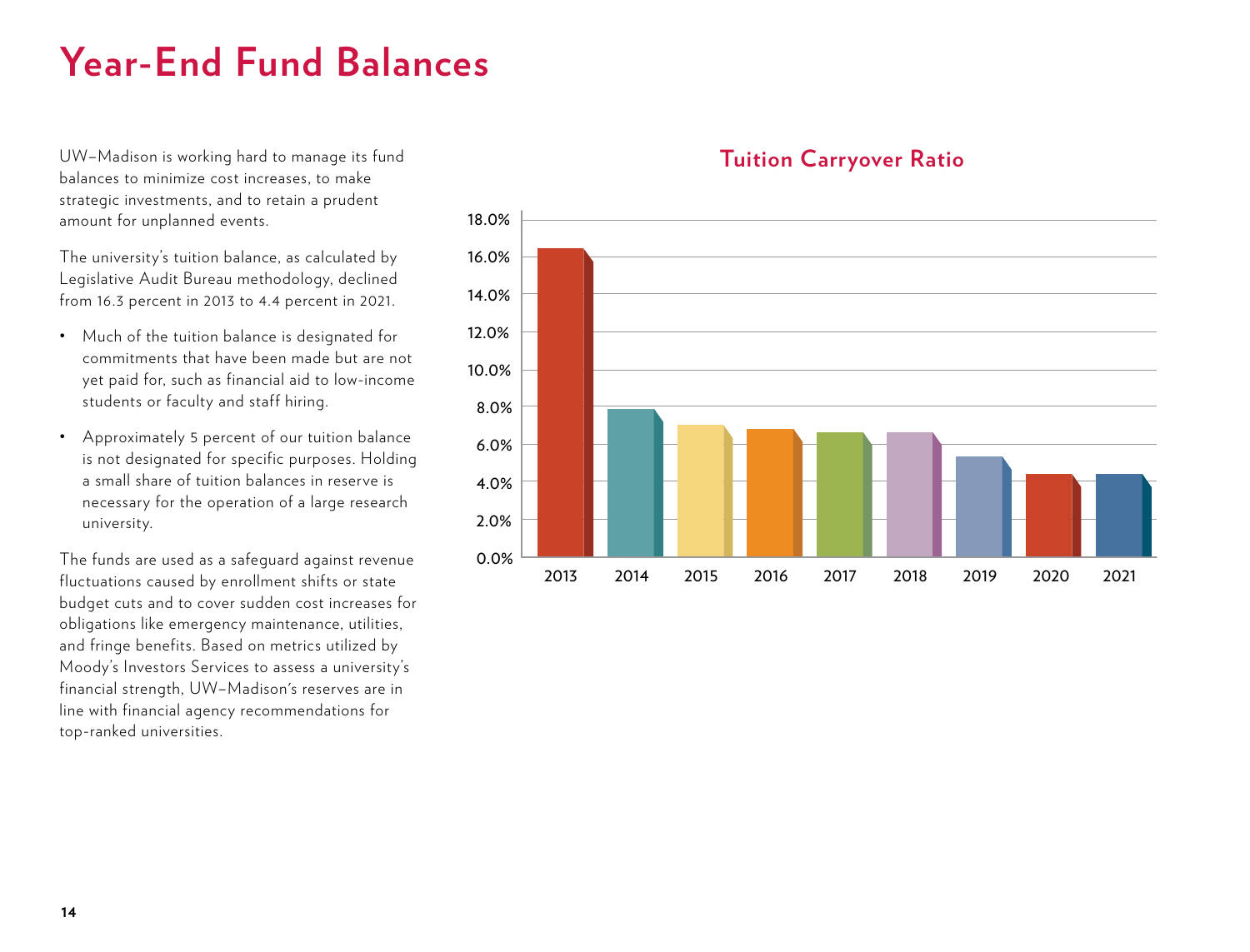## **Year-End Fund Balances**

UW–Madison is working hard to manage its fund balances to minimize cost increases, to make strategic investments, and to retain a prudent amount for unplanned events.

The university's tuition balance, as calculated by Legislative Audit Bureau methodology, declined from 16.3 percent in 2013 to 4.4 percent in 2021.

- Much of the tuition balance is designated for commitments that have been made but are not yet paid for, such as financial aid to low-income students or faculty and staff hiring.
- Approximately 5 percent of our tuition balance is not designated for specific purposes. Holding a small share of tuition balances in reserve is necessary for the operation of a large research university.

The funds are used as a safeguard against revenue fluctuations caused by enrollment shifts or state budget cuts and to cover sudden cost increases for obligations like emergency maintenance, utilities, and fringe benefits. Based on metrics utilized by Moody's Investors Services to assess a university's financial strength, UW–Madison's reserves are in line with financial agency recommendations for top-ranked universities.



#### **Tuition Carryover Ratio**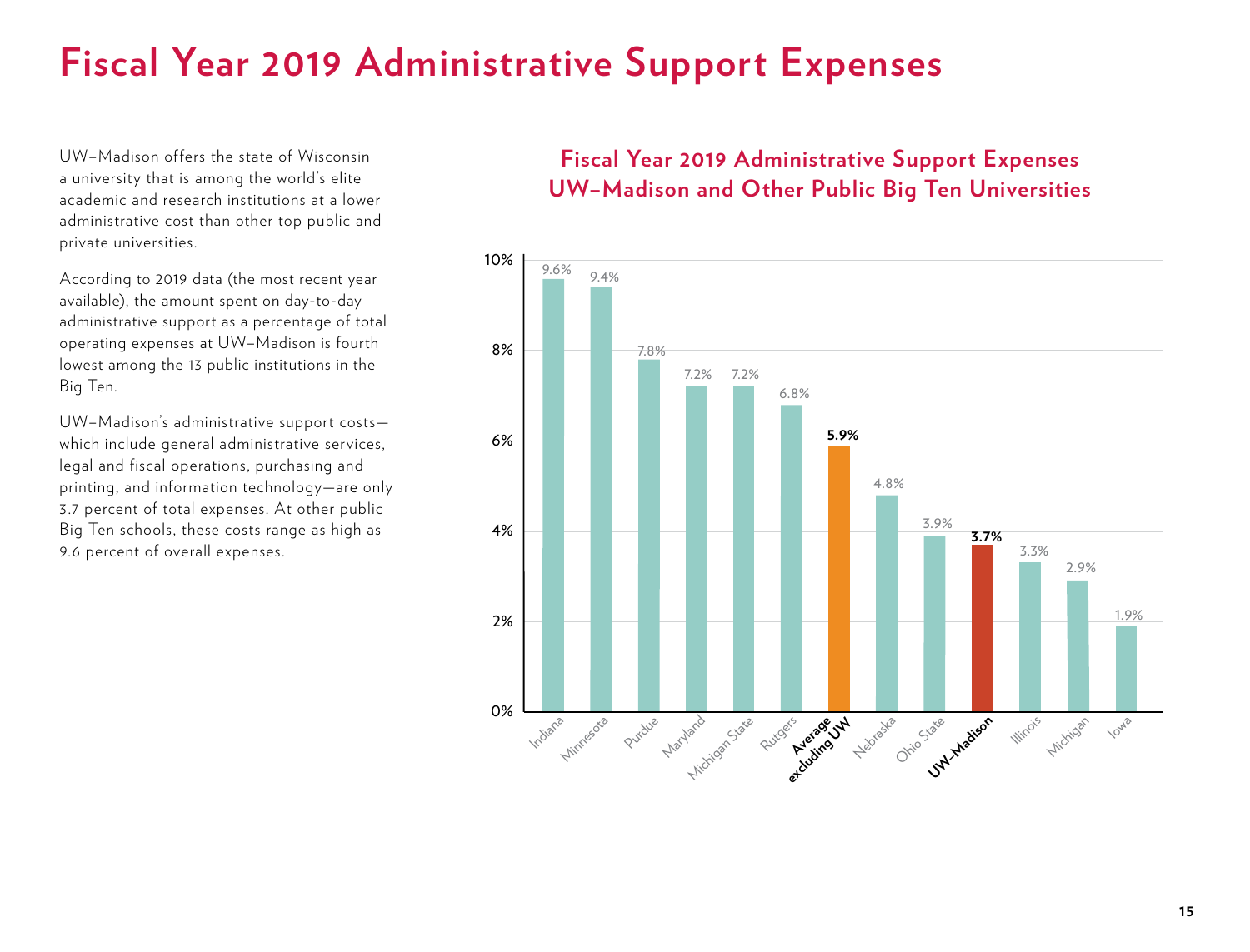## **Fiscal Year 2019 Administrative Support Expenses**

UW–Madison offers the state of Wisconsin a university that is among the world's elite academic and research institutions at a lower administrative cost than other top public and private universities.

According to 2019 data (the most recent year available), the amount spent on day-to-day administrative support as a percentage of total operating expenses at UW–Madison is fourth lowest among the 13 public institutions in the Big Ten.

UW–Madison's administrative support costs which include general administrative services, legal and fiscal operations, purchasing and printing, and information technology—are only 3.7 percent of total expenses. At other public Big Ten schools, these costs range as high as 9.6 percent of overall expenses.

### **Fiscal Year 2019 Administrative Support Expenses UW–Madison and Other Public Big Ten Universities**

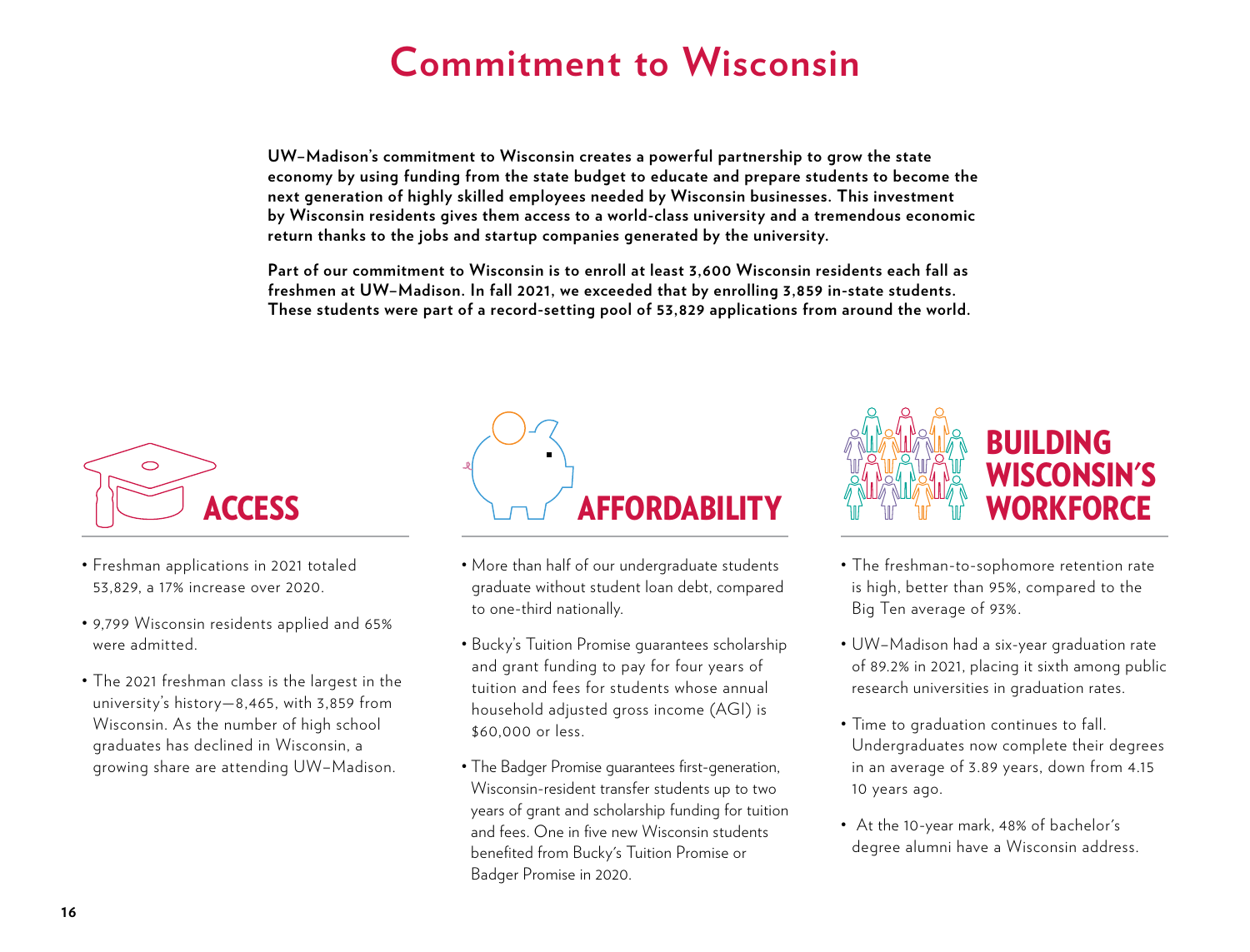### **Commitment to Wisconsin**

**UW–Madison's commitment to Wisconsin creates a powerful partnership to grow the state economy by using funding from the state budget to educate and prepare students to become the next generation of highly skilled employees needed by Wisconsin businesses. This investment by Wisconsin residents gives them access to a world-class university and a tremendous economic return thanks to the jobs and startup companies generated by the university.**

**Part of our commitment to Wisconsin is to enroll at least 3,600 Wisconsin residents each fall as freshmen at UW–Madison. In fall 2021, we exceeded that by enrolling 3,859 in-state students. These students were part of a record-setting pool of 53,829 applications from around the world.**



- Freshman applications in 2021 totaled 53,829, a 17% increase over 2020.
- 9,799 Wisconsin residents applied and 65% were admitted.
- The 2021 freshman class is the largest in the university's history—8,465, with 3,859 from Wisconsin. As the number of high school graduates has declined in Wisconsin, a growing share are attending UW–Madison.



- More than half of our undergraduate students graduate without student loan debt, compared to one-third nationally.
- Bucky's Tuition Promise guarantees scholarship and grant funding to pay for four years of tuition and fees for students whose annual household adjusted gross income (AGI) is \$60,000 or less.
- The Badger Promise guarantees first-generation, Wisconsin-resident transfer students up to two years of grant and scholarship funding for tuition and fees. One in five new Wisconsin students benefited from Bucky's Tuition Promise or Badger Promise in 2020.



- The freshman-to-sophomore retention rate is high, better than 95%, compared to the Big Ten average of 93%.
- UW–Madison had a six-year graduation rate of 89.2% in 2021, placing it sixth among public research universities in graduation rates.
- Time to graduation continues to fall. Undergraduates now complete their degrees in an average of 3.89 years, down from 4.15 10 years ago.
- At the 10-year mark, 48% of bachelor's degree alumni have a Wisconsin address.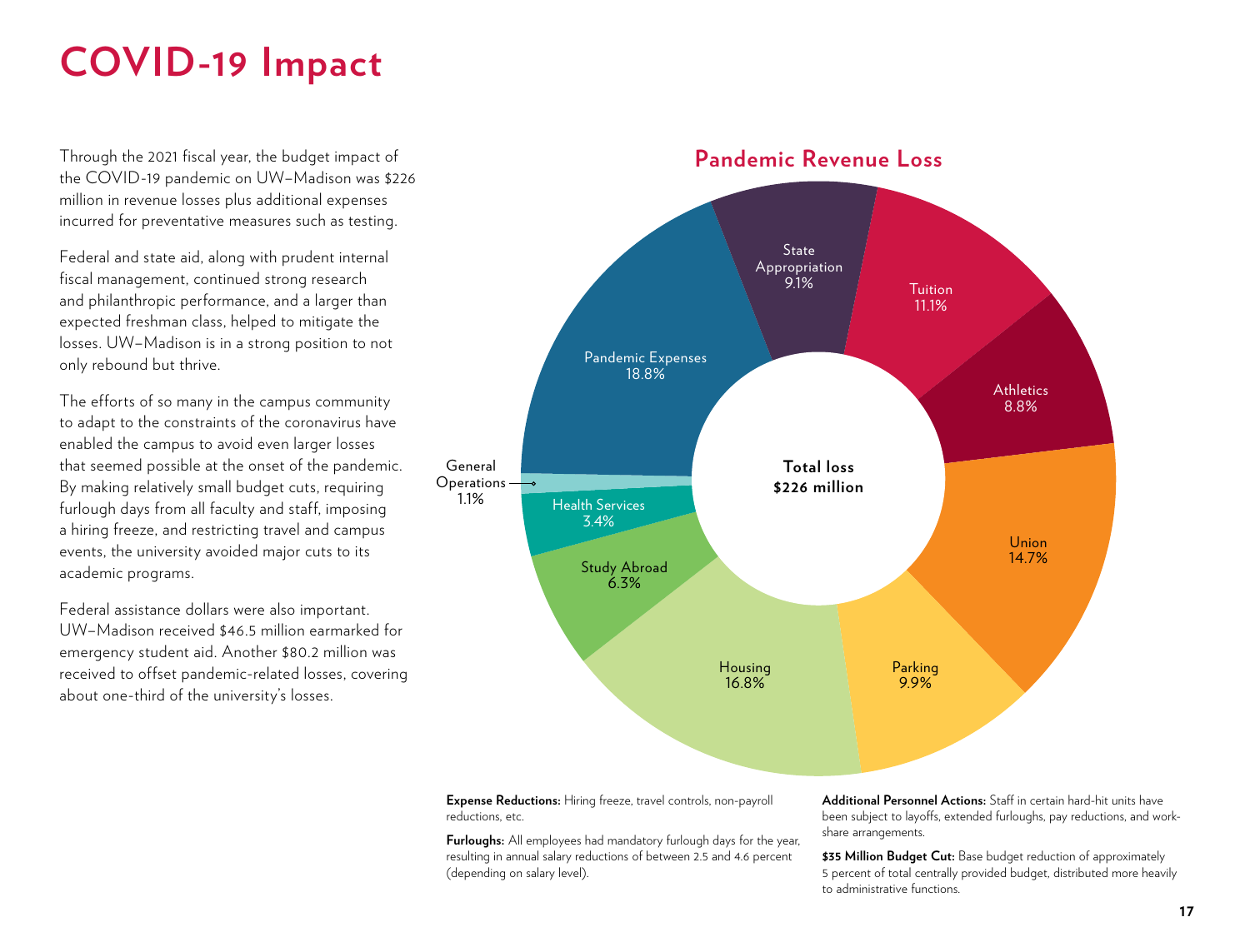## **COVID-19 Impact**

Through the 2021 fiscal year, the budget impact of the COVID-19 pandemic on UW–Madison was \$226 million in revenue losses plus additional expenses incurred for preventative measures such as testing.

Federal and state aid, along with prudent internal fiscal management, continued strong research and philanthropic performance, and a larger than expected freshman class, helped to mitigate the losses. UW–Madison is in a strong position to not only rebound but thrive.

The efforts of so many in the campus community to adapt to the constraints of the coronavirus have enabled the campus to avoid even larger losses that seemed possible at the onset of the pandemic. By making relatively small budget cuts, requiring furlough days from all faculty and staff, imposing a hiring freeze, and restricting travel and campus events, the university avoided major cuts to its academic programs.

Federal assistance dollars were also important. UW–Madison received \$46.5 million earmarked for emergency student aid. Another \$80.2 million was received to offset pandemic-related losses, covering about one-third of the university's losses.



**Expense Reductions:** Hiring freeze, travel controls, non-payroll reductions, etc.

**Furloughs:** All employees had mandatory furlough days for the year, resulting in annual salary reductions of between 2.5 and 4.6 percent (depending on salary level).

**Additional Personnel Actions:** Staff in certain hard-hit units have been subject to layoffs, extended furloughs, pay reductions, and workshare arrangements.

**\$35 Million Budget Cut:** Base budget reduction of approximately 5 percent of total centrally provided budget, distributed more heavily to administrative functions.